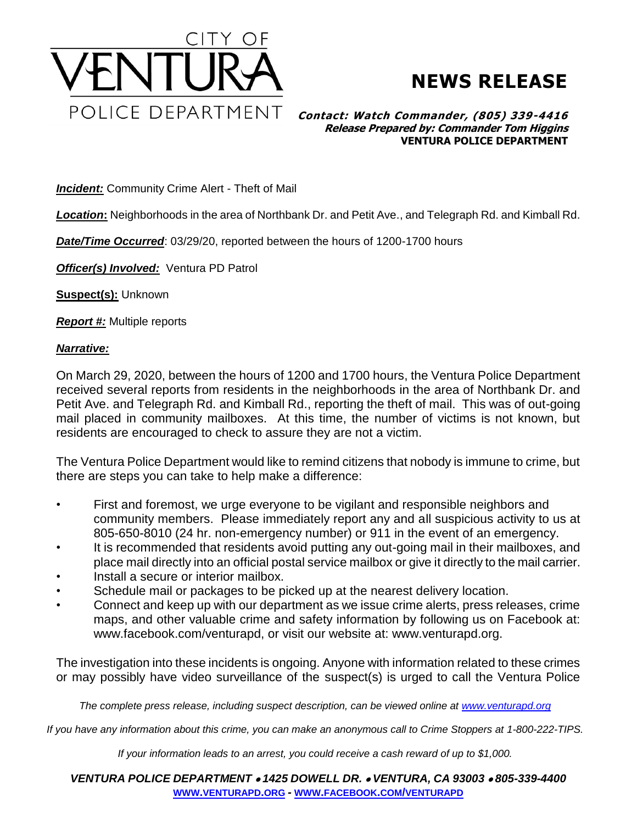

## **NEWS RELEASE**

## **Contact: Watch Commander, (805) 339-4416 Release Prepared by: Commander Tom Higgins VENTURA POLICE DEPARTMENT**

**Incident:** Community Crime Alert - Theft of Mail

*Location***:** Neighborhoods in the area of Northbank Dr. and Petit Ave., and Telegraph Rd. and Kimball Rd.

*Date/Time Occurred*: 03/29/20, reported between the hours of 1200-1700 hours

*Officer(s) Involved:* Ventura PD Patrol

**Suspect(s):** Unknown

*Report #:* Multiple reports

## *Narrative:*

On March 29, 2020, between the hours of 1200 and 1700 hours, the Ventura Police Department received several reports from residents in the neighborhoods in the area of Northbank Dr. and Petit Ave. and Telegraph Rd. and Kimball Rd., reporting the theft of mail. This was of out-going mail placed in community mailboxes. At this time, the number of victims is not known, but residents are encouraged to check to assure they are not a victim.

The Ventura Police Department would like to remind citizens that nobody is immune to crime, but there are steps you can take to help make a difference:

- First and foremost, we urge everyone to be vigilant and responsible neighbors and community members. Please immediately report any and all suspicious activity to us at 805-650-8010 (24 hr. non-emergency number) or 911 in the event of an emergency.
- It is recommended that residents avoid putting any out-going mail in their mailboxes, and place mail directly into an official postal service mailbox or give it directly to the mail carrier.
- Install a secure or interior mailbox.
- Schedule mail or packages to be picked up at the nearest delivery location.
- Connect and keep up with our department as we issue crime alerts, press releases, crime maps, and other valuable crime and safety information by following us on Facebook at: www.facebook.com/venturapd, or visit our website at: www.venturapd.org.

The investigation into these incidents is ongoing. Anyone with information related to these crimes or may possibly have video surveillance of the suspect(s) is urged to call the Ventura Police

*The complete press release, including suspect description, can be viewed online at [www.venturapd.org](http://www.venturapd.org/)*

*If you have any information about this crime, you can make an anonymous call to Crime Stoppers at 1-800-222-TIPS.*

*If your information leads to an arrest, you could receive a cash reward of up to \$1,000.*

*VENTURA POLICE DEPARTMENT 1425 DOWELL DR. VENTURA, CA 93003 805-339-4400* **WWW.[VENTURAPD](http://www.venturapd.org/).ORG** *-* **WWW.FACEBOOK.COM/[VENTURAPD](http://www.facebook.com/venturapd)**